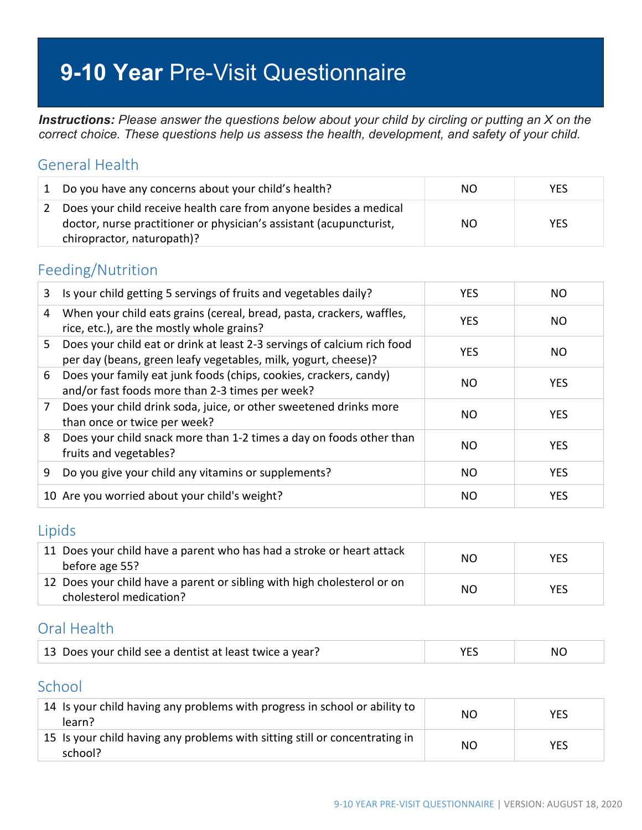# **9-10 Year** Pre-Visit Questionnaire

*Instructions: Please answer the questions below about your child by circling or putting an X on the correct choice. These questions help us assess the health, development, and safety of your child.*

#### General Health

|               | Do you have any concerns about your child's health?                                                                                                                    | NO. | <b>YES</b> |
|---------------|------------------------------------------------------------------------------------------------------------------------------------------------------------------------|-----|------------|
| $\mathcal{L}$ | Does your child receive health care from anyone besides a medical<br>doctor, nurse practitioner or physician's assistant (acupuncturist,<br>chiropractor, naturopath)? | NO. | <b>YES</b> |

#### Feeding/Nutrition

| 3  | Is your child getting 5 servings of fruits and vegetables daily?                                                                          | <b>YES</b> | NO.        |
|----|-------------------------------------------------------------------------------------------------------------------------------------------|------------|------------|
| 4  | When your child eats grains (cereal, bread, pasta, crackers, waffles,<br>rice, etc.), are the mostly whole grains?                        | <b>YES</b> | NO.        |
| 5. | Does your child eat or drink at least 2-3 servings of calcium rich food<br>per day (beans, green leafy vegetables, milk, yogurt, cheese)? | <b>YES</b> | NO.        |
| 6  | Does your family eat junk foods (chips, cookies, crackers, candy)<br>and/or fast foods more than 2-3 times per week?                      | NO.        | <b>YES</b> |
| 7  | Does your child drink soda, juice, or other sweetened drinks more<br>than once or twice per week?                                         | NO.        | <b>YES</b> |
| 8  | Does your child snack more than 1-2 times a day on foods other than<br>fruits and vegetables?                                             | NO.        | <b>YES</b> |
| 9  | Do you give your child any vitamins or supplements?                                                                                       | NO.        | <b>YES</b> |
|    | 10 Are you worried about your child's weight?                                                                                             | NO.        | <b>YES</b> |

#### Lipids

| 11 Does your child have a parent who has had a stroke or heart attack<br>before age 55?            | NO. | <b>YES</b> |
|----------------------------------------------------------------------------------------------------|-----|------------|
| 12 Does your child have a parent or sibling with high cholesterol or on<br>cholesterol medication? | NO. | <b>YES</b> |

## Oral Health

| 13 Does your child see a dentist at least twice a year? | NC. |
|---------------------------------------------------------|-----|
|                                                         |     |

### School

| 14 Is your child having any problems with progress in school or ability to<br>learn?   | NΟ | YES |
|----------------------------------------------------------------------------------------|----|-----|
| 15 Is your child having any problems with sitting still or concentrating in<br>school? | NΟ | YES |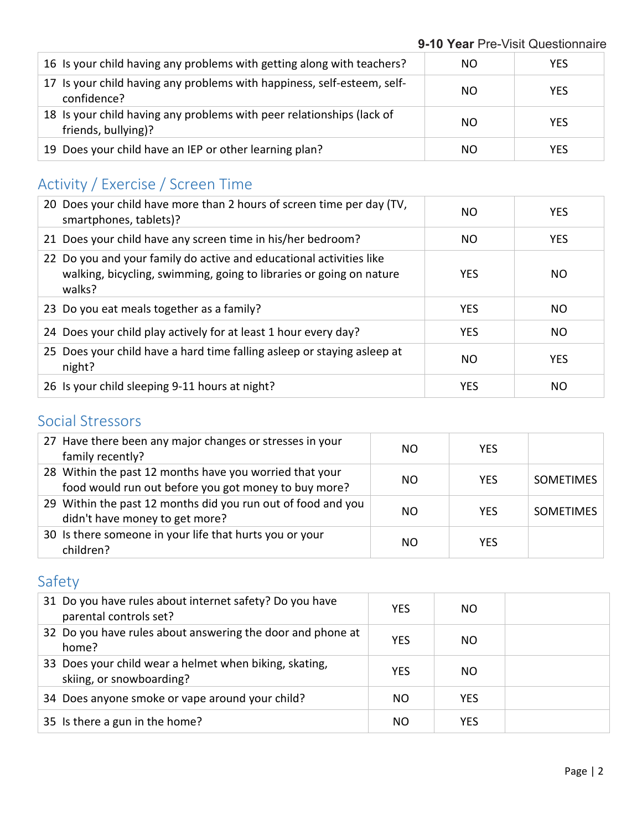| 16 Is your child having any problems with getting along with teachers?                       | NO.           | <b>YES</b> |
|----------------------------------------------------------------------------------------------|---------------|------------|
| 17 Is your child having any problems with happiness, self-esteem, self-<br>confidence?       | <sub>NO</sub> | <b>YES</b> |
| 18 Is your child having any problems with peer relationships (lack of<br>friends, bullying)? | <sub>NO</sub> | <b>YES</b> |
| 19 Does your child have an IEP or other learning plan?                                       | NO.           | <b>YES</b> |

## Activity / Exercise / Screen Time

| 20 Does your child have more than 2 hours of screen time per day (TV,<br>smartphones, tablets)?                                                      | ΝO         | <b>YES</b> |
|------------------------------------------------------------------------------------------------------------------------------------------------------|------------|------------|
| 21 Does your child have any screen time in his/her bedroom?                                                                                          | NO.        | <b>YES</b> |
| 22 Do you and your family do active and educational activities like<br>walking, bicycling, swimming, going to libraries or going on nature<br>walks? | <b>YES</b> | NO.        |
| 23 Do you eat meals together as a family?                                                                                                            | <b>YES</b> | NO.        |
| 24 Does your child play actively for at least 1 hour every day?                                                                                      | <b>YES</b> | <b>NO</b>  |
| 25 Does your child have a hard time falling asleep or staying asleep at<br>night?                                                                    | NO.        | <b>YES</b> |
| 26 Is your child sleeping 9-11 hours at night?                                                                                                       | <b>YES</b> | NO         |

### Social Stressors

| 27 Have there been any major changes or stresses in your<br>family recently?                                    | NO. | <b>YES</b> |                  |
|-----------------------------------------------------------------------------------------------------------------|-----|------------|------------------|
| 28 Within the past 12 months have you worried that your<br>food would run out before you got money to buy more? | NO. | <b>YES</b> | <b>SOMETIMES</b> |
| 29 Within the past 12 months did you run out of food and you<br>didn't have money to get more?                  | NΟ  | <b>YES</b> | <b>SOMETIMES</b> |
| 30 Is there someone in your life that hurts you or your<br>children?                                            | NΟ  | YFS        |                  |

## Safety

| 31 Do you have rules about internet safety? Do you have<br>parental controls set?  | <b>YES</b> | NO.        |  |
|------------------------------------------------------------------------------------|------------|------------|--|
| 32 Do you have rules about answering the door and phone at<br>home?                | <b>YES</b> | NO.        |  |
| 33 Does your child wear a helmet when biking, skating,<br>skiing, or snowboarding? | <b>YES</b> | NO.        |  |
| 34 Does anyone smoke or vape around your child?                                    | NO.        | <b>YES</b> |  |
| 35 Is there a gun in the home?                                                     | NO.        | <b>YES</b> |  |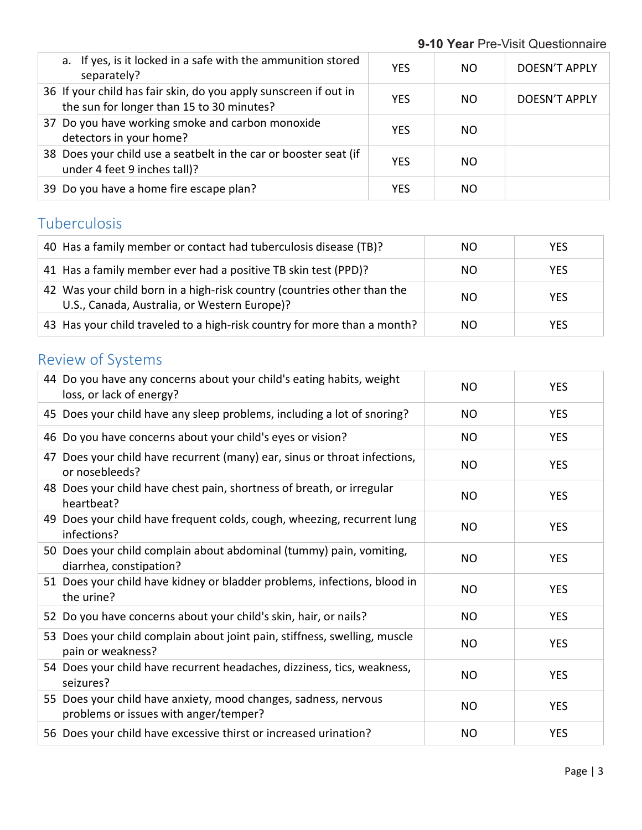| a. If yes, is it locked in a safe with the ammunition stored<br>separately?                                   | <b>YES</b> | NO. | DOESN'T APPLY        |
|---------------------------------------------------------------------------------------------------------------|------------|-----|----------------------|
| 36 If your child has fair skin, do you apply sunscreen if out in<br>the sun for longer than 15 to 30 minutes? | <b>YES</b> | NO. | <b>DOESN'T APPLY</b> |
| 37 Do you have working smoke and carbon monoxide<br>detectors in your home?                                   | <b>YES</b> | NO. |                      |
| 38 Does your child use a seatbelt in the car or booster seat (if<br>under 4 feet 9 inches tall)?              | <b>YES</b> | NO. |                      |
| 39 Do you have a home fire escape plan?                                                                       | YES        | NO. |                      |

## Tuberculosis

| 40 Has a family member or contact had tuberculosis disease (TB)?                                                        | NO. | <b>YES</b> |
|-------------------------------------------------------------------------------------------------------------------------|-----|------------|
| 41 Has a family member ever had a positive TB skin test (PPD)?                                                          | NO. | <b>YES</b> |
| 42 Was your child born in a high-risk country (countries other than the<br>U.S., Canada, Australia, or Western Europe)? | NO. | <b>YES</b> |
| 43 Has your child traveled to a high-risk country for more than a month?                                                | NO. | <b>YES</b> |

# Review of Systems

| 44 Do you have any concerns about your child's eating habits, weight<br>loss, or lack of energy?         | <b>NO</b> | <b>YES</b> |
|----------------------------------------------------------------------------------------------------------|-----------|------------|
| 45 Does your child have any sleep problems, including a lot of snoring?                                  | NO        | <b>YES</b> |
| 46 Do you have concerns about your child's eyes or vision?                                               | NO        | <b>YES</b> |
| 47 Does your child have recurrent (many) ear, sinus or throat infections,<br>or nosebleeds?              | <b>NO</b> | <b>YES</b> |
| 48 Does your child have chest pain, shortness of breath, or irregular<br>heartbeat?                      | NO        | <b>YES</b> |
| 49 Does your child have frequent colds, cough, wheezing, recurrent lung<br>infections?                   | NO        | <b>YES</b> |
| 50 Does your child complain about abdominal (tummy) pain, vomiting,<br>diarrhea, constipation?           | <b>NO</b> | <b>YES</b> |
| 51 Does your child have kidney or bladder problems, infections, blood in<br>the urine?                   | <b>NO</b> | <b>YES</b> |
| 52 Do you have concerns about your child's skin, hair, or nails?                                         | <b>NO</b> | <b>YES</b> |
| 53 Does your child complain about joint pain, stiffness, swelling, muscle<br>pain or weakness?           | NO        | <b>YES</b> |
| 54 Does your child have recurrent headaches, dizziness, tics, weakness,<br>seizures?                     | NO        | <b>YES</b> |
| 55 Does your child have anxiety, mood changes, sadness, nervous<br>problems or issues with anger/temper? | <b>NO</b> | <b>YES</b> |
| 56 Does your child have excessive thirst or increased urination?                                         | <b>NO</b> | <b>YES</b> |